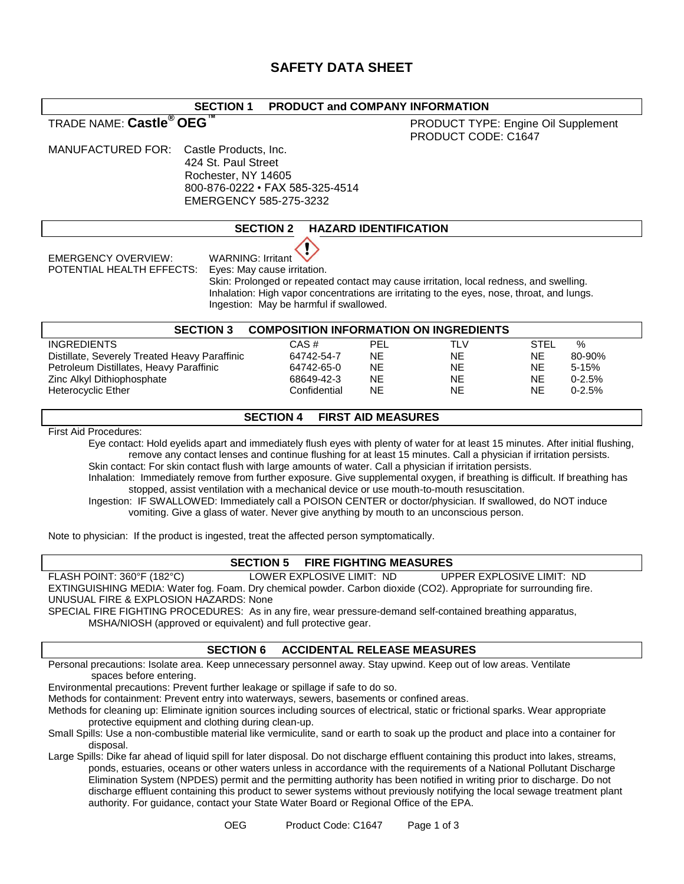# **SAFETY DATA SHEET**

# **SECTION 1 PRODUCT and COMPANY INFORMATION**

# TRADE NAME: **Castle® OEG™** PRODUCT TYPE: Engine Oil Supplement PRODUCT CODE: C1647

MANUFACTURED FOR: Castle Products, Inc. 424 St. Paul Street Rochester, NY 14605 800-876-0222 • FAX 585-325-4514 EMERGENCY 585-275-3232

**SECTION 2 HAZARD IDENTIFICATION** EMERGENCY OVERVIEW: WARNING: Irritant POTENTIAL HEALTH EFFECTS: Eyes: May cause irritation. Skin: Prolonged or repeated contact may cause irritation, local redness, and swelling.

Inhalation: High vapor concentrations are irritating to the eyes, nose, throat, and lungs. Ingestion: May be harmful if swallowed.

| <b>SECTION 3</b>                              | <b>COMPOSITION INFORMATION ON INGREDIENTS</b> |           |           |             |            |
|-----------------------------------------------|-----------------------------------------------|-----------|-----------|-------------|------------|
| <b>INGREDIENTS</b>                            | CAS#                                          | PEL       | TLV       | <b>STEL</b> | %          |
| Distillate, Severely Treated Heavy Paraffinic | 64742-54-7                                    | <b>NE</b> | NE        | NE          | 80-90%     |
| Petroleum Distillates, Heavy Paraffinic       | 64742-65-0                                    | <b>NE</b> | <b>NE</b> | <b>NE</b>   | $5-15%$    |
| Zinc Alkyl Dithiophosphate                    | 68649-42-3                                    | <b>NE</b> | <b>NE</b> | <b>NE</b>   | $0 - 2.5%$ |
| <b>Heterocyclic Ether</b>                     | Confidential                                  | <b>NE</b> | <b>NE</b> | <b>NE</b>   | $0 - 2.5%$ |

# **SECTION 4 FIRST AID MEASURES**

First Aid Procedures:

Eye contact: Hold eyelids apart and immediately flush eyes with plenty of water for at least 15 minutes. After initial flushing, remove any contact lenses and continue flushing for at least 15 minutes. Call a physician if irritation persists. Skin contact: For skin contact flush with large amounts of water. Call a physician if irritation persists.

Inhalation: Immediately remove from further exposure. Give supplemental oxygen, if breathing is difficult. If breathing has stopped, assist ventilation with a mechanical device or use mouth-to-mouth resuscitation.

Ingestion: IF SWALLOWED: Immediately call a POISON CENTER or doctor/physician. If swallowed, do NOT induce vomiting. Give a glass of water. Never give anything by mouth to an unconscious person.

Note to physician: If the product is ingested, treat the affected person symptomatically.

# **SECTION 5 FIRE FIGHTING MEASURES**

FLASH POINT: 360°F (182°C) LOWER EXPLOSIVE LIMIT: ND UPPER EXPLOSIVE LIMIT: ND EXTINGUISHING MEDIA: Water fog. Foam. Dry chemical powder. Carbon dioxide (CO2). Appropriate for surrounding fire. UNUSUAL FIRE & EXPLOSION HAZARDS: None

SPECIAL FIRE FIGHTING PROCEDURES: As in any fire, wear pressure-demand self-contained breathing apparatus, MSHA/NIOSH (approved or equivalent) and full protective gear.

# **SECTION 6 ACCIDENTAL RELEASE MEASURES**

Personal precautions: Isolate area. Keep unnecessary personnel away. Stay upwind. Keep out of low areas. Ventilate spaces before entering.

Environmental precautions: Prevent further leakage or spillage if safe to do so.

Methods for containment: Prevent entry into waterways, sewers, basements or confined areas.

Methods for cleaning up: Eliminate ignition sources including sources of electrical, static or frictional sparks. Wear appropriate protective equipment and clothing during clean-up.

Small Spills: Use a non-combustible material like vermiculite, sand or earth to soak up the product and place into a container for disposal.

Large Spills: Dike far ahead of liquid spill for later disposal. Do not discharge effluent containing this product into lakes, streams, ponds, estuaries, oceans or other waters unless in accordance with the requirements of a National Pollutant Discharge Elimination System (NPDES) permit and the permitting authority has been notified in writing prior to discharge. Do not discharge effluent containing this product to sewer systems without previously notifying the local sewage treatment plant authority. For guidance, contact your State Water Board or Regional Office of the EPA.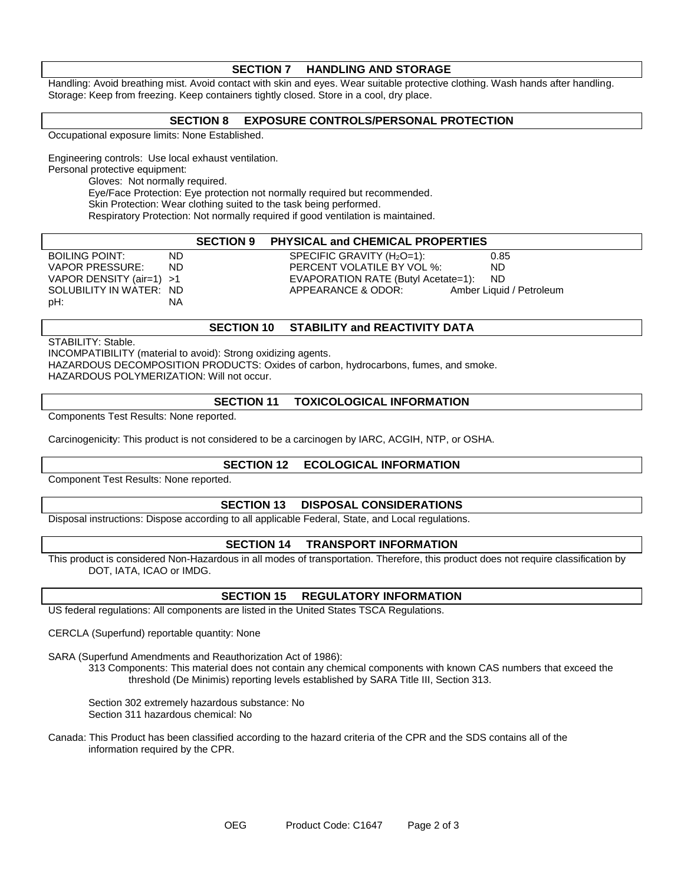# **SECTION 7 HANDLING AND STORAGE**

Handling: Avoid breathing mist. Avoid contact with skin and eyes. Wear suitable protective clothing. Wash hands after handling. Storage: Keep from freezing. Keep containers tightly closed. Store in a cool, dry place.

#### **SECTION 8 EXPOSURE CONTROLS/PERSONAL PROTECTION**

Occupational exposure limits: None Established.

Engineering controls: Use local exhaust ventilation. Personal protective equipment:

Gloves: Not normally required.

Eye/Face Protection: Eye protection not normally required but recommended.

Skin Protection: Wear clothing suited to the task being performed.

Respiratory Protection: Not normally required if good ventilation is maintained.

#### **SECTION 9 PHYSICAL and CHEMICAL PROPERTIES**

| <b>BOILING POINT:</b>  | ND. |
|------------------------|-----|
| <b>VAPOR PRESSURE:</b> | ND  |
| VAPOR DENSITY (air=1)  | >1  |
| SOLUBILITY IN WATER:   | ND. |
| pH:                    | ΝA  |

SPECIFIC GRAVITY  $(H<sub>2</sub>O=1)$ : 0.85 PERCENT VOLATILE BY VOL %: ND EVAPORATION RATE (Butyl Acetate=1): ND APPEARANCE & ODOR: Amber Liquid / Petroleum

# **SECTION 10 STABILITY and REACTIVITY DATA**

STABILITY: Stable.

INCOMPATIBILITY (material to avoid): Strong oxidizing agents.

HAZARDOUS DECOMPOSITION PRODUCTS: Oxides of carbon, hydrocarbons, fumes, and smoke.

HAZARDOUS POLYMERIZATION: Will not occur.

#### **SECTION 11 TOXICOLOGICAL INFORMATION**

Components Test Results: None reported.

Carcinogenici**t**y: This product is not considered to be a carcinogen by IARC, ACGIH, NTP, or OSHA.

# **SECTION 12 ECOLOGICAL INFORMATION**

Component Test Results: None reported.

#### **SECTION 13 DISPOSAL CONSIDERATIONS**

Disposal instructions: Dispose according to all applicable Federal, State, and Local regulations.

# **SECTION 14 TRANSPORT INFORMATION**

This product is considered Non-Hazardous in all modes of transportation. Therefore, this product does not require classification by DOT, IATA, ICAO or IMDG.

# **SECTION 15 REGULATORY INFORMATION**

US federal regulations: All components are listed in the United States TSCA Regulations.

CERCLA (Superfund) reportable quantity: None

SARA (Superfund Amendments and Reauthorization Act of 1986):

313 Components: This material does not contain any chemical components with known CAS numbers that exceed the threshold (De Minimis) reporting levels established by SARA Title III, Section 313.

Section 302 extremely hazardous substance: No Section 311 hazardous chemical: No

Canada: This Product has been classified according to the hazard criteria of the CPR and the SDS contains all of the information required by the CPR.